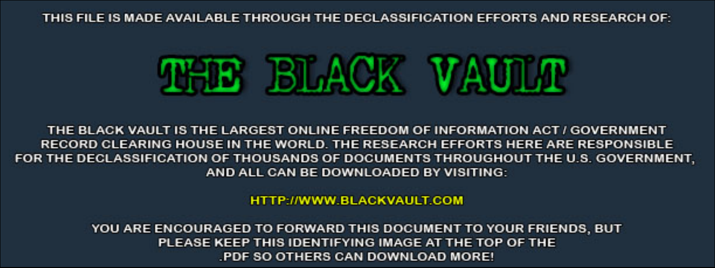THIS FILE IS MADE AVAILABLE THROUGH THE DECLASSIFICATION EFFORTS AND RESEARCH OF:



THE BLACK VAULT IS THE LARGEST ONLINE FREEDOM OF INFORMATION ACT / GOVERNMENT RECORD CLEARING HOUSE IN THE WORLD. THE RESEARCH EFFORTS HERE ARE RESPONSIBLE FOR THE DECLASSIFICATION OF THOUSANDS OF DOCUMENTS THROUGHOUT THE U.S. GOVERNMENT, AND ALL CAN BE DOWNLOADED BY VISITING:

**HTTP://WWW.BLACKVAULT.COM** 

YOU ARE ENCOURAGED TO FORWARD THIS DOCUMENT TO YOUR FRIENDS, BUT PLEASE KEEP THIS IDENTIFYING IMAGE AT THE TOP OF THE PDF SO OTHERS CAN DOWNLOAD MORE!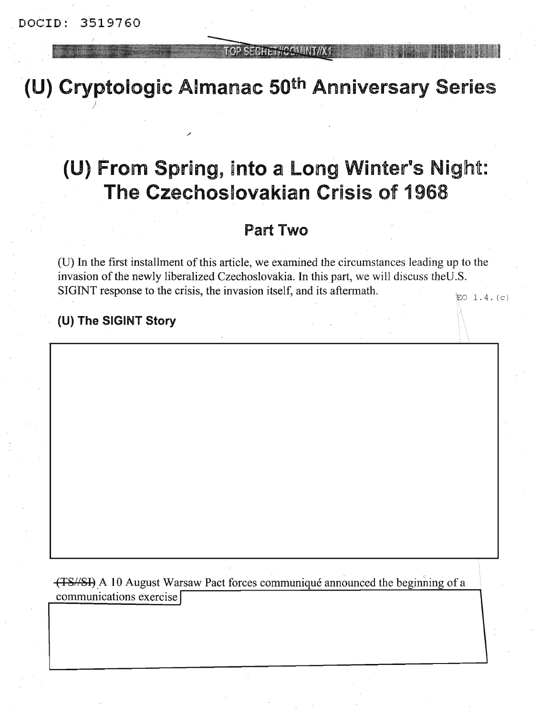/

#### TOP SECHET//COMINT

**(U)** Cryptologic Almanac 50th Anniversary Series

# (U) From Spring, into a Long Winter's Night: The Czechoslovakian Crisis of 1968

# Part Two

 $EO$   $1.4. (c)$ (U) In the first installment of this article, we examined the circumstances leading up to the invasion of the newly liberalized Czechoslovakia. In this part, we will discuss the U.S. SIGINT response to the crisis, the invasion itself, and its aftermath

:\

 $\overline{\phantom{a}}$ 

### (U) The SIGINT Story

(TS//SI) A 10 August Warsaw Pact forces communiqué announced the beginning of a communications exercise I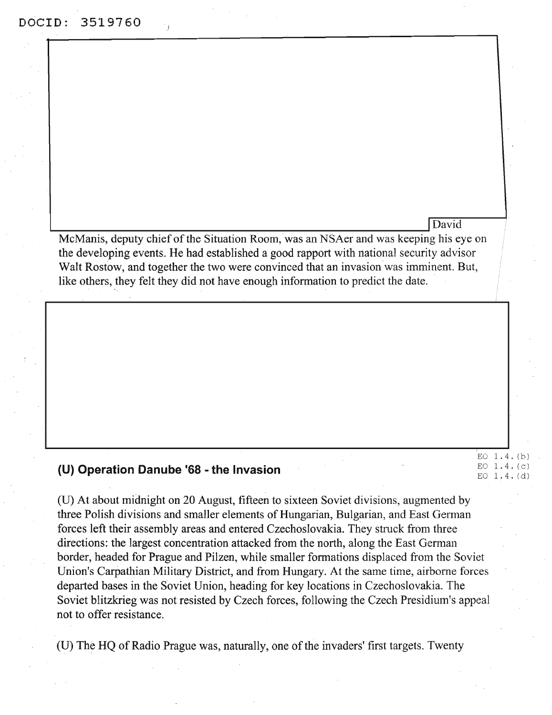McManis, deputy chief of the Situation Room, was an NSAer and was keeping his eye on the developing events. He had established a good rapport with national security advisor Walt Rostow, and together the two were convinced that an invasion was imminent. But, like others, they felt they did not have enough information to predict the date.

International Contract of the Contract of the Contract of The Contract of The Contract of The Contract of The Contract of The Contract of The Contract of The Contract of The Contract of The Contract of The Contract of The

#### **(U) Operation Danube '68 - the Invasion**

(U) At about midnight on 20 August, fifteen to sixteen Soviet divisions, augmented by three Polish divisions and smaller elements of Hungarian, Bulgarian, and East German forces left their assembly areas and entered Czechoslovakia. They struck from three directions: the largest concentration attacked from the north, along the East German border, headed for Prague and Pilzen, while smaller formations displaced from the Soviet Union's Carpathian Military District, and from Hungary. At the same time, airborne forces departed bases in the Soviet Union, heading for key locations in Czechoslovakia. The Soviet blitzkrieg was not resisted by Czech forces, following the Czech Presidium's appeal not to offer resistance.

EO 1.4. (b) EO 1.4. (c) EO 1.4. (d)

(U) The HQ of Radio Prague was, naturally, one of the invaders' first targets. Twenty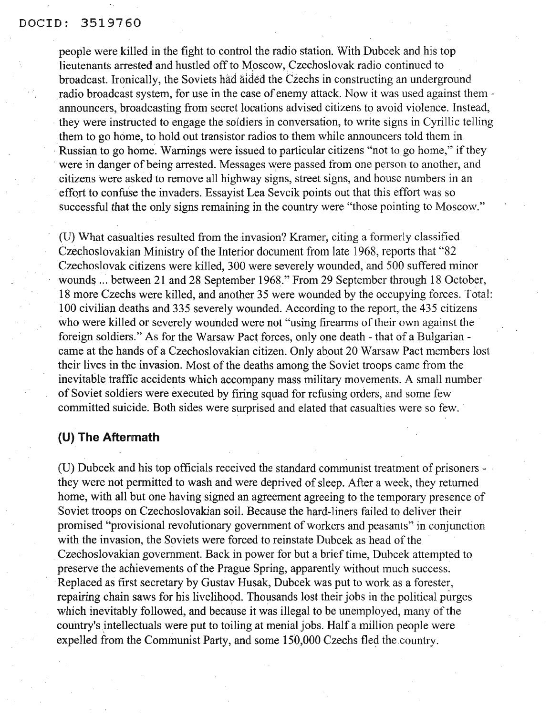#### DOCID: 3519760

people were killed in the fight to control the radio station. With Dubcek and his top lieutenants arrested and hustled off to Moscow, Czechoslovak radio continued to broadcast. Ironically, the Soviets had aided the Czechs in constructing an underground radio broadcast system, for use in the case of enemy attack. Now it was used against themannouncers, broadcasting from secret locations advised citizens to avoid violence. Instead, they were instructed to engage the soldiers in conversation, to write signs in Cyrillic telling them to go home, to hold out transistor radios to them while announcers told them in Russian to go home. Warnings were issued to particular citizens "not to go home," if they were in danger of being arrested. Messages were passed from one person to another, and citizens were asked to remove all highway signs, street signs, and house numbers in an effort to confuse the invaders. Essayist Lea Sevcik points out that this effort was so successful that the only signs remaining in the country were "those pointing to Moscow."

(D) What casualties resulted from the invasion? Kramer, citing a formerly classified Czechoslovakian Ministry of the Interior document from late 1968, reports that "82 Czechoslovak citizens were killed, 300 were severely wounded, and 500 suffered minor wounds ... between 21 and 28 September 1968." From 29 September through 18 October, 18 more Czechs were killed, and another 35 were wounded by the occupying forces. Total: 100 civilian deaths and 335 severely wounded. According to the report, the 435 citizens who were killed or severely wounded were not "using firearms of their own against the foreign soldiers." As for the Warsaw Pact forces, only one death - that of a Bulgarian came at the hands of a Czechoslovakian citizen. Only about 20 Warsaw Pact members lost their lives in the invasion. Most of the deaths among the Soviet troops came from the inevitable traffic accidents which accompany mass military movements. A small number of Soviet soldiers were executed by firing squad for refusing orders, and some few committed suicide. Both sides were surprised and elated that casualties were so few.

#### **(U) The Aftermath**

(U) Dubcek and his top officials received the standard communist treatment of prisoners they were not permitted to wash and were deprived of sleep. After a week, they returned home, with all but one having signed an agreement agreeing to the temporary presence of Soviet troops on Czechoslovakian soil. Because the hard-liners failed to deliver their promised "provisional revolutionary government of workers and peasants" in conjunction with the invasion, the Soviets were forced to reinstate Dubcek as head of the Czechoslovakian government. Back in power for but a brief time, Dubcek attempted to preserve the achievements of the Prague Spring, apparently without much success. Replaced as first secretary by Gustav Husak, Dubcek was put to work as a forester, repairing chain saws for his livelihood. Thousands lost their jobs in the political purges which inevitably followed, and because it was illegal to be unemployed, many of the country's intellectuals were put to toiling at menial jobs. Half a million people were expelled from the Communist Party, and some 150,000 Czechs fled the.country.